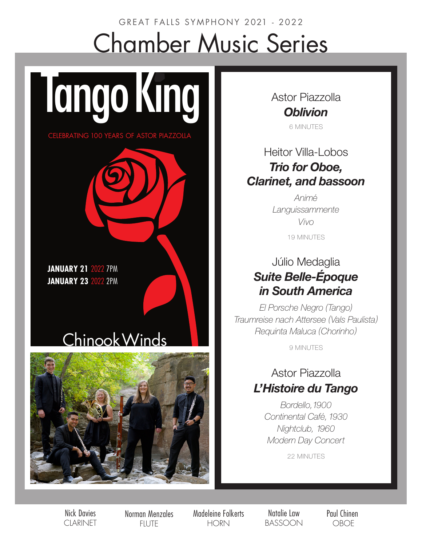# GREAT FALLS SYMPHONY 2021 - 2022 Chamber Music Series

**JANUARY 21** 2022 7PM **JANUARY 23 2022 2PM** 

# ChinookWinds

**Tango King** 

CELEBRATING 100 YEARS OF ASTOR PIAZZOLLA



Astor Piazzolla *Oblivion* 6 MINUTES

### Heitor Villa-Lobos *Trio for Oboe, Clarinet, and bassoon*

*Animé Languissammente Vivo*

19 MINUTES

## Júlio Medaglia *Suite Belle-Époque in South America*

*El Porsche Negro (Tango) Traumreise nach Attersee (Vals Paulista) Requinta Maluca (Chorinho)*

9 MINUTES

### Astor Piazzolla *L'Histoire du Tango*

*Bordello,1900 Continental Café,1930 Nightclub, 1960 Modern Day Concert*

22 MINUTES

Nick Davies CLARINET Norman Menzales **FILITE** 

Madeleine Folkerts **HORN** 

Natalie Law BASSOON Paul Chinen OBOE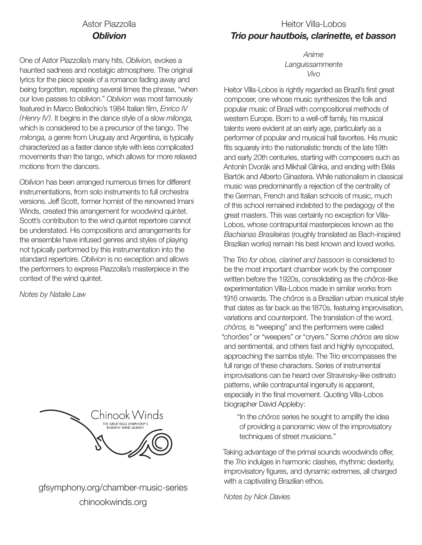#### Astor Piazzolla *Oblivion*

One of Astor Piazzolla's many hits, *Oblivion,* evokes a haunted sadness and nostalgic atmosphere. The original lyrics for the piece speak of a romance fading away and being forgotten, repeating several times the phrase, "when our love passes to oblivion." *Oblivion* was most famously featured in Marco Bellochio's 1984 Italian film, *Enrico IV (Henry IV)*. It begins in the dance style of a slow *milonga,*  which is considered to be a precursor of the tango. The *milonga,* a genre from Uruguay and Argentina, is typically characterized as a faster dance style with less complicated movements than the tango, which allows for more relaxed motions from the dancers.

*Oblivion* has been arranged numerous times for different instrumentations, from solo instruments to full orchestra versions. Jeff Scott, former hornist of the renowned Imani Winds, created this arrangement for woodwind quintet. Scott's contribution to the wind quintet repertoire cannot be understated. His compositions and arrangements for the ensemble have infused genres and styles of playing not typically performed by this instrumentation into the standard repertoire. *Oblivion* is no exception and allows the performers to express Piazzolla's masterpiece in the context of the wind quintet.

*Notes by Natalie Law*



gfsymphony.org/chamber-music-series chinookwinds.org

*Anime Languissammente Vivo*

Heitor Villa-Lobos is rightly regarded as Brazil's first great composer, one whose music synthesizes the folk and popular music of Brazil with compositional methods of western Europe. Born to a well-off family, his musical talents were evident at an early age, particularly as a performer of popular and musical hall favorites. His music fits squarely into the nationalistic trends of the late 19th and early 20th centuries, starting with composers such as Antonín Dvorák and Mikhail Glinka, and ending with Béla Bartók and Alberto Ginastera. While nationalism in classical music was predominantly a rejection of the centrality of the German, French and Italian schools of music, much of this school remained indebted to the pedagogy of the great masters. This was certainly no exception for Villa-Lobos, whose contrapuntal masterpieces known as the *Bachianas Brasileiras* (roughly translated as Bach-inspired Brazilian works) remain his best known and loved works.

The *Trio for oboe, clarinet and bassoon* is considered to be the most important chamber work by the composer written before the 1920s, consolidating as the *chôros*-like experimentation Villa-Lobos made in similar works from 1916 onwards. The *chôros* is a Brazilian urban musical style that dates as far back as the 1870s, featuring improvisation, variations and counterpoint. The translation of the word, *chôros,* is "weeping" and the performers were called *"chorões"* or "weepers" or "cryers." Some *chôros* are slow and sentimental, and others fast and highly syncopated, approaching the samba style. The Trio encompasses the full range of these characters. Series of instrumental improvisations can be heard over Stravinsky-like ostinato patterns, while contrapuntal ingenuity is apparent, especially in the final movement. Quoting Villa-Lobos biographer David Appleby:

"In the *chôros* series he sought to amplify the idea of providing a panoramic view of the improvisatory techniques of street musicians."

Taking advantage of the primal sounds woodwinds offer, the *Trio* indulges in harmonic clashes, rhythmic dexterity, improvisatory figures, and dynamic extremes, all charged with a captivating Brazilian ethos.

*Notes by Nick Davies*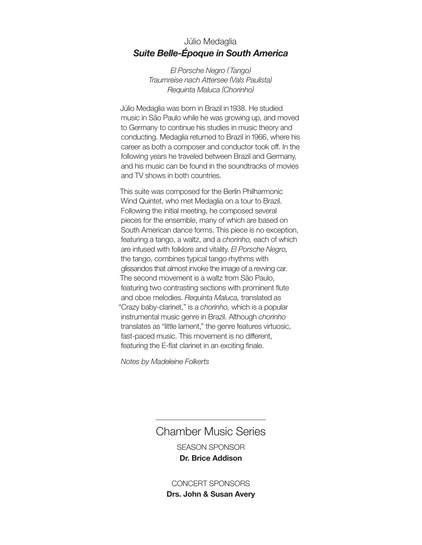#### Júlio Medaglia *Suite Belle-Époque in South America*

*El Porsche Negro (Tango) Traumreise nach Attersee (Vals Paulista) Requinta Maluca (Chorinho)*

Júlio Medaglia was born in Brazil in 1938. He studied music in São Paulo while he was growing up, and moved to Germany to continue his studies in music theory and conducting. Medaglia returned to Brazil in 1966, where his career as both a composer and conductor took off. In the following years he traveled between Brazil and Germany, and his music can be found in the soundtracks of movies and TV shows in both countries.

This suite was composed for the Berlin Philharmonic Wind Quintet, who met Medaglia on a tour to Brazil. Following the initial meeting, he composed several pieces for the ensemble, many of which are based on South American dance forms. This piece is no exception, featuring a tango, a waltz, and a *chorinho,* each of which are infused with folklore and vitality. *El Porsche Negro,* the tango, combines typical tango rhythms with glissandos that almost invoke the image of a revving car. The second movement is a waltz from São Paulo, featuring two contrasting sections with prominent flute and oboe melodies. *Requinta Maluca,* translated as "Crazy baby-clarinet," is a *chorinho,* which is a popular instrumental music genre in Brazil. Although *chorinho* translates as "little lament," the genre features virtuosic, fast-paced music. This movement is no different, featuring the E-flat clarinet in an exciting finale.

*Notes by Madeleine Folkerts*

Chamber Music Series SEASON SPONSOR **Dr. Brice Addison**

CONCERT SPONSORS **Drs. John & Susan Avery**